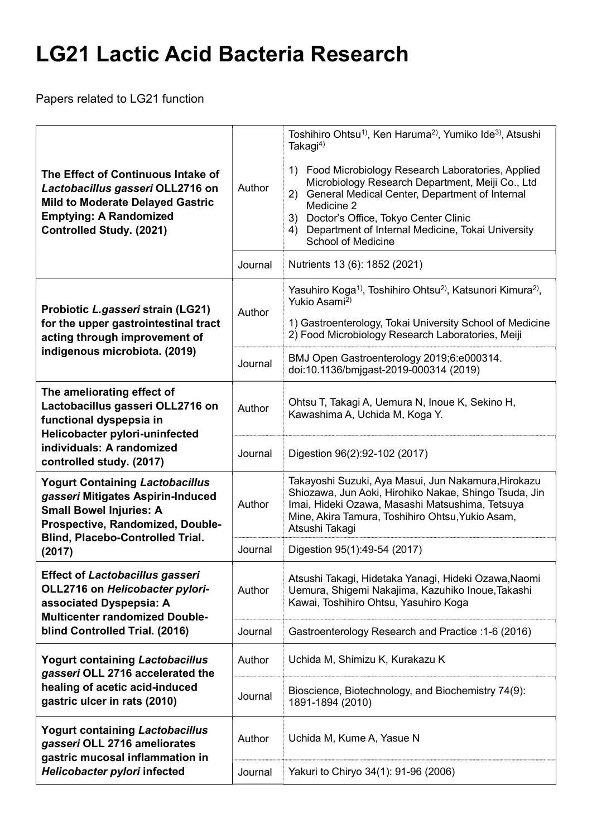## LG21 Lactic Acid Bacteria Research

Papers related to LG21 function

| The Effect of Continuous Intake of<br>Lactobacillus gasseri OLL2716 on<br><b>Mild to Moderate Delayed Gastric</b><br><b>Emptying: A Randomized</b><br><b>Controlled Study. (2021)</b>                  | Author<br>Journal | Toshihiro Ohtsu <sup>1)</sup> , Ken Haruma <sup>2)</sup> , Yumiko Ide <sup>3)</sup> , Atsushi<br>Takagi <sup>4)</sup><br>1) Food Microbiology Research Laboratories, Applied<br>Microbiology Research Department, Meiji Co., Ltd<br>General Medical Center, Department of Internal<br>(2)<br>Medicine 2<br>Doctor's Office, Tokyo Center Clinic<br>3)<br>Department of Internal Medicine, Tokai University<br>4)<br><b>School of Medicine</b><br>Nutrients 13 (6): 1852 (2021) |
|--------------------------------------------------------------------------------------------------------------------------------------------------------------------------------------------------------|-------------------|--------------------------------------------------------------------------------------------------------------------------------------------------------------------------------------------------------------------------------------------------------------------------------------------------------------------------------------------------------------------------------------------------------------------------------------------------------------------------------|
| Probiotic L.gasseri strain (LG21)<br>for the upper gastrointestinal tract<br>acting through improvement of<br>indigenous microbiota. (2019)                                                            | Author            | Yasuhiro Koga <sup>1)</sup> , Toshihiro Ohtsu <sup>2)</sup> , Katsunori Kimura <sup>2)</sup> ,<br>Yukio Asami <sup>2)</sup><br>1) Gastroenterology, Tokai University School of Medicine<br>2) Food Microbiology Research Laboratories, Meiji                                                                                                                                                                                                                                   |
|                                                                                                                                                                                                        | Journal           | BMJ Open Gastroenterology 2019;6:e000314.<br>doi:10.1136/bmjgast-2019-000314 (2019)                                                                                                                                                                                                                                                                                                                                                                                            |
| The ameliorating effect of<br>Lactobacillus gasseri OLL2716 on<br>functional dyspepsia in<br>Helicobacter pylori-uninfected<br>individuals: A randomized<br>controlled study. (2017)                   | Author            | Ohtsu T, Takagi A, Uemura N, Inoue K, Sekino H,<br>Kawashima A, Uchida M, Koga Y.                                                                                                                                                                                                                                                                                                                                                                                              |
|                                                                                                                                                                                                        | Journal           | Digestion 96(2):92-102 (2017)                                                                                                                                                                                                                                                                                                                                                                                                                                                  |
| <b>Yogurt Containing Lactobacillus</b><br>gasseri Mitigates Aspirin-Induced<br><b>Small Bowel Injuries: A</b><br>Prospective, Randomized, Double-<br><b>Blind, Placebo-Controlled Trial.</b><br>(2017) | Author            | Takayoshi Suzuki, Aya Masui, Jun Nakamura, Hirokazu<br>Shiozawa, Jun Aoki, Hirohiko Nakae, Shingo Tsuda, Jin<br>Imai, Hideki Ozawa, Masashi Matsushima, Tetsuya<br>Mine, Akira Tamura, Toshihiro Ohtsu, Yukio Asam,<br>Atsushi Takagi                                                                                                                                                                                                                                          |
|                                                                                                                                                                                                        | Journal           | Digestion 95(1):49-54 (2017)                                                                                                                                                                                                                                                                                                                                                                                                                                                   |
| <b>Effect of Lactobacillus gasseri</b><br>OLL2716 on Helicobacter pylori-<br>associated Dyspepsia: A<br><b>Multicenter randomized Double-</b><br>blind Controlled Trial. (2016)                        | Author            | Atsushi Takagi, Hidetaka Yanagi, Hideki Ozawa, Naomi<br>Uemura, Shigemi Nakajima, Kazuhiko Inoue, Takashi<br>Kawai, Toshihiro Ohtsu, Yasuhiro Koga                                                                                                                                                                                                                                                                                                                             |
|                                                                                                                                                                                                        | Journal           | Gastroenterology Research and Practice : 1-6 (2016)                                                                                                                                                                                                                                                                                                                                                                                                                            |
| <b>Yogurt containing Lactobacillus</b><br>gasseri OLL 2716 accelerated the<br>healing of acetic acid-induced<br>gastric ulcer in rats (2010)                                                           | Author            | Uchida M, Shimizu K, Kurakazu K                                                                                                                                                                                                                                                                                                                                                                                                                                                |
|                                                                                                                                                                                                        | Journal           | Bioscience, Biotechnology, and Biochemistry 74(9):<br>1891-1894 (2010)                                                                                                                                                                                                                                                                                                                                                                                                         |
| <b>Yogurt containing Lactobacillus</b><br>gasseri OLL 2716 ameliorates<br>gastric mucosal inflammation in<br>Helicobacter pylori infected                                                              | Author            | Uchida M, Kume A, Yasue N                                                                                                                                                                                                                                                                                                                                                                                                                                                      |
|                                                                                                                                                                                                        | Journal           | Yakuri to Chiryo 34(1): 91-96 (2006)                                                                                                                                                                                                                                                                                                                                                                                                                                           |